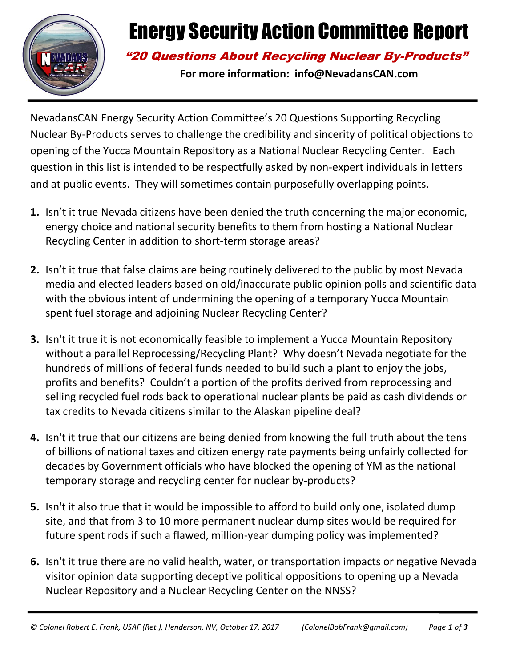

# Energy Security Action Committee Report

### "20 Questions About Recycling Nuclear By-Products"

**For more information: info@NevadansCAN.com**

NevadansCAN Energy Security Action Committee's 20 Questions Supporting Recycling Nuclear By-Products serves to challenge the credibility and sincerity of political objections to opening of the Yucca Mountain Repository as a National Nuclear Recycling Center. Each question in this list is intended to be respectfully asked by non-expert individuals in letters and at public events. They will sometimes contain purposefully overlapping points.

- **1.** Isn't it true Nevada citizens have been denied the truth concerning the major economic, energy choice and national security benefits to them from hosting a National Nuclear Recycling Center in addition to short-term storage areas?
- **2.** Isn't it true that false claims are being routinely delivered to the public by most Nevada media and elected leaders based on old/inaccurate public opinion polls and scientific data with the obvious intent of undermining the opening of a temporary Yucca Mountain spent fuel storage and adjoining Nuclear Recycling Center?
- **3.** Isn't it true it is not economically feasible to implement a Yucca Mountain Repository without a parallel Reprocessing/Recycling Plant? Why doesn't Nevada negotiate for the hundreds of millions of federal funds needed to build such a plant to enjoy the jobs, profits and benefits? Couldn't a portion of the profits derived from reprocessing and selling recycled fuel rods back to operational nuclear plants be paid as cash dividends or tax credits to Nevada citizens similar to the Alaskan pipeline deal?
- **4.** Isn't it true that our citizens are being denied from knowing the full truth about the tens of billions of national taxes and citizen energy rate payments being unfairly collected for decades by Government officials who have blocked the opening of YM as the national temporary storage and recycling center for nuclear by-products?
- **5.** Isn't it also true that it would be impossible to afford to build only one, isolated dump site, and that from 3 to 10 more permanent nuclear dump sites would be required for future spent rods if such a flawed, million-year dumping policy was implemented?
- **6.** Isn't it true there are no valid health, water, or transportation impacts or negative Nevada visitor opinion data supporting deceptive political oppositions to opening up a Nevada Nuclear Repository and a Nuclear Recycling Center on the NNSS?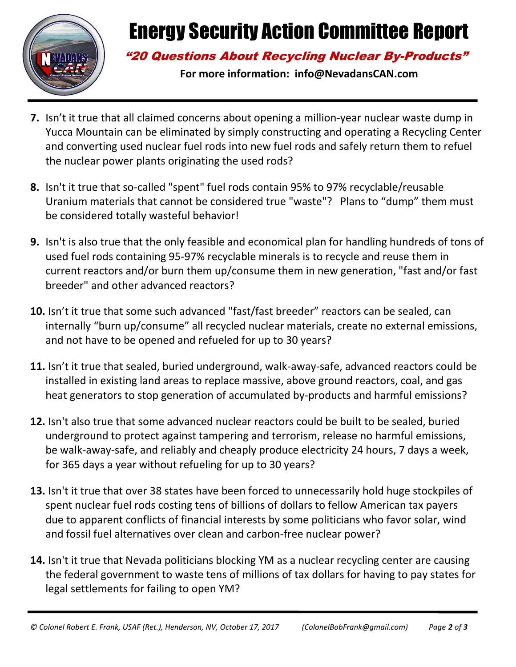

# Energy Security Action Committee Report

#### "20 Questions About Recycling Nuclear By-Products"

**For more information: info@NevadansCAN.com**

- **7.** Isn't it true that all claimed concerns about opening a million-year nuclear waste dump in Yucca Mountain can be eliminated by simply constructing and operating a Recycling Center and converting used nuclear fuel rods into new fuel rods and safely return them to refuel the nuclear power plants originating the used rods?
- **8.** Isn't it true that so-called "spent" fuel rods contain 95% to 97% recyclable/reusable Uranium materials that cannot be considered true "waste"? Plans to "dump" them must be considered totally wasteful behavior!
- **9.** Isn't is also true that the only feasible and economical plan for handling hundreds of tons of used fuel rods containing 95-97% recyclable minerals is to recycle and reuse them in current reactors and/or burn them up/consume them in new generation, "fast and/or fast breeder" and other advanced reactors?
- **10.** Isn't it true that some such advanced "fast/fast breeder" reactors can be sealed, can internally "burn up/consume" all recycled nuclear materials, create no external emissions, and not have to be opened and refueled for up to 30 years?
- **11.** Isn't it true that sealed, buried underground, walk-away-safe, advanced reactors could be installed in existing land areas to replace massive, above ground reactors, coal, and gas heat generators to stop generation of accumulated by-products and harmful emissions?
- **12.** Isn't also true that some advanced nuclear reactors could be built to be sealed, buried underground to protect against tampering and terrorism, release no harmful emissions, be walk-away-safe, and reliably and cheaply produce electricity 24 hours, 7 days a week, for 365 days a year without refueling for up to 30 years?
- **13.** Isn't it true that over 38 states have been forced to unnecessarily hold huge stockpiles of spent nuclear fuel rods costing tens of billions of dollars to fellow American tax payers due to apparent conflicts of financial interests by some politicians who favor solar, wind and fossil fuel alternatives over clean and carbon-free nuclear power?
- **14.** Isn't it true that Nevada politicians blocking YM as a nuclear recycling center are causing the federal government to waste tens of millions of tax dollars for having to pay states for legal settlements for failing to open YM?